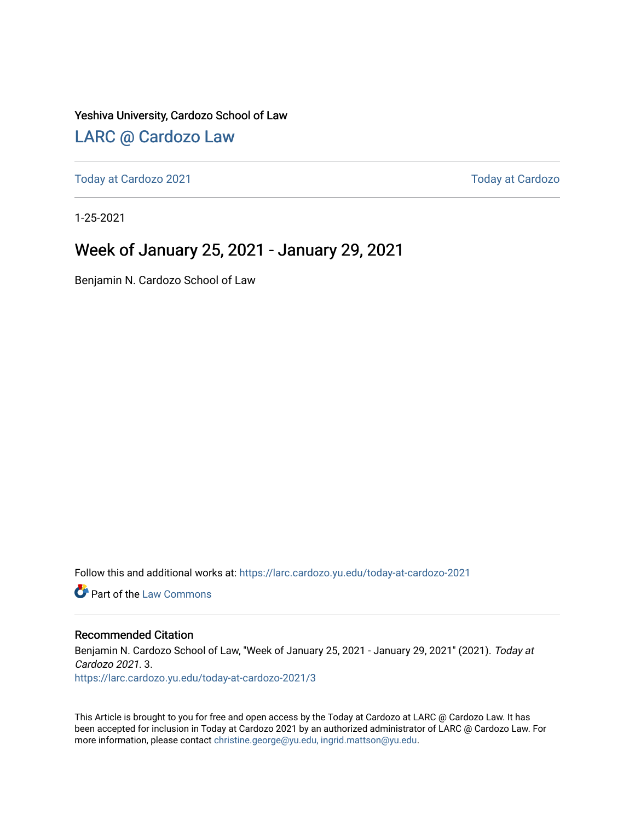#### Yeshiva University, Cardozo School of Law

### [LARC @ Cardozo Law](https://larc.cardozo.yu.edu/)

[Today at Cardozo 2021](https://larc.cardozo.yu.edu/today-at-cardozo-2021) **Today at Cardozo** 2021

1-25-2021

### Week of January 25, 2021 - January 29, 2021

Benjamin N. Cardozo School of Law

Follow this and additional works at: [https://larc.cardozo.yu.edu/today-at-cardozo-2021](https://larc.cardozo.yu.edu/today-at-cardozo-2021?utm_source=larc.cardozo.yu.edu%2Ftoday-at-cardozo-2021%2F3&utm_medium=PDF&utm_campaign=PDFCoverPages)

**C** Part of the [Law Commons](http://network.bepress.com/hgg/discipline/578?utm_source=larc.cardozo.yu.edu%2Ftoday-at-cardozo-2021%2F3&utm_medium=PDF&utm_campaign=PDFCoverPages)

#### Recommended Citation

Benjamin N. Cardozo School of Law, "Week of January 25, 2021 - January 29, 2021" (2021). Today at Cardozo 2021. 3. [https://larc.cardozo.yu.edu/today-at-cardozo-2021/3](https://larc.cardozo.yu.edu/today-at-cardozo-2021/3?utm_source=larc.cardozo.yu.edu%2Ftoday-at-cardozo-2021%2F3&utm_medium=PDF&utm_campaign=PDFCoverPages) 

This Article is brought to you for free and open access by the Today at Cardozo at LARC @ Cardozo Law. It has been accepted for inclusion in Today at Cardozo 2021 by an authorized administrator of LARC @ Cardozo Law. For more information, please contact [christine.george@yu.edu, ingrid.mattson@yu.edu](mailto:christine.george@yu.edu,%20ingrid.mattson@yu.edu).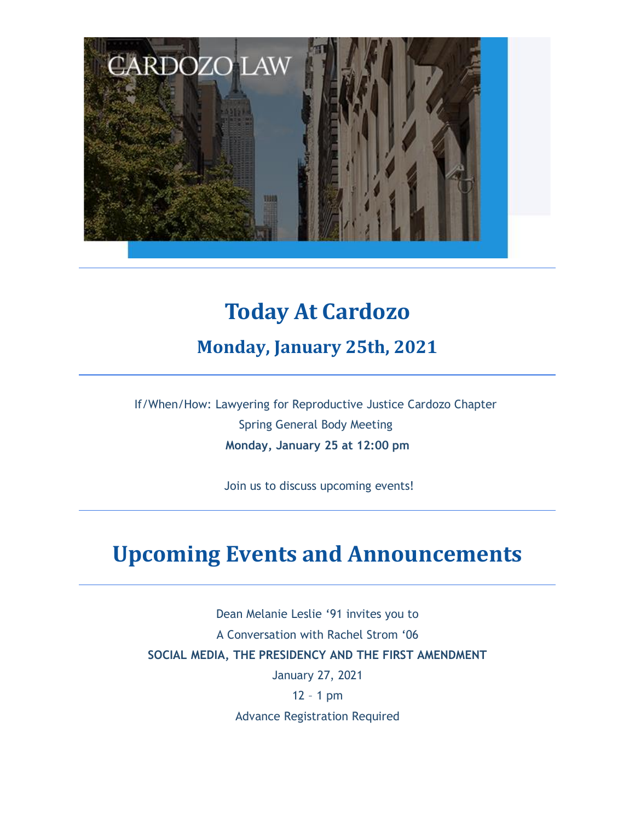

## **Today At Cardozo**

**Monday, January 25th, 2021**

If/When/How: Lawyering for Reproductive Justice Cardozo Chapter Spring General Body Meeting **Monday, January 25 at 12:00 pm**

Join us to discuss upcoming events!

## **Upcoming Events and Announcements**

Dean Melanie Leslie '91 invites you to A Conversation with Rachel Strom '06 **SOCIAL MEDIA, THE PRESIDENCY AND THE FIRST AMENDMENT** January 27, 2021

12 – 1 pm

Advance Registration Required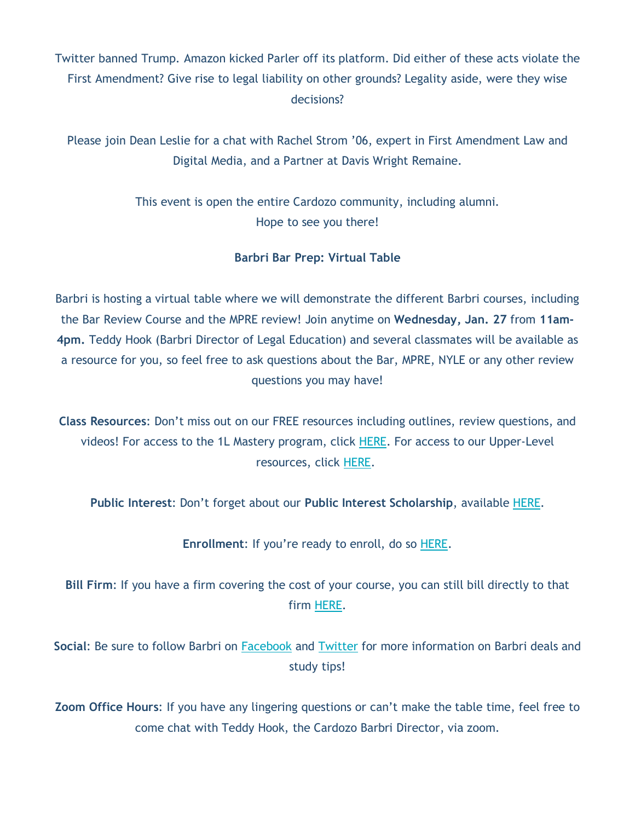Twitter banned Trump. Amazon kicked Parler off its platform. Did either of these acts violate the First Amendment? Give rise to legal liability on other grounds? Legality aside, were they wise decisions?

Please join Dean Leslie for a chat with Rachel Strom '06, expert in First Amendment Law and Digital Media, and a Partner at Davis Wright Remaine.

> This event is open the entire Cardozo community, including alumni. Hope to see you there!

#### **Barbri Bar Prep: Virtual Table**

Barbri is hosting a virtual table where we will demonstrate the different Barbri courses, including the Bar Review Course and the MPRE review! Join anytime on **Wednesday, Jan. 27** from **11am-4pm.** Teddy Hook (Barbri Director of Legal Education) and several classmates will be available as a resource for you, so feel free to ask questions about the Bar, MPRE, NYLE or any other review questions you may have!

**Class Resources**: Don't miss out on our FREE resources including outlines, review questions, and videos! For access to the 1L Mastery program, click HERE. For access to our Upper-Level resources, click HERE.

**Public Interest**: Don't forget about our **Public Interest Scholarship**, available HERE.

**Enrollment**: If you're ready to enroll, do so HERE.

**Bill Firm**: If you have a firm covering the cost of your course, you can still bill directly to that firm HERE.

**Social**: Be sure to follow Barbri on Facebook and Twitter for more information on Barbri deals and study tips!

**Zoom Office Hours**: If you have any lingering questions or can't make the table time, feel free to come chat with Teddy Hook, the Cardozo Barbri Director, via zoom.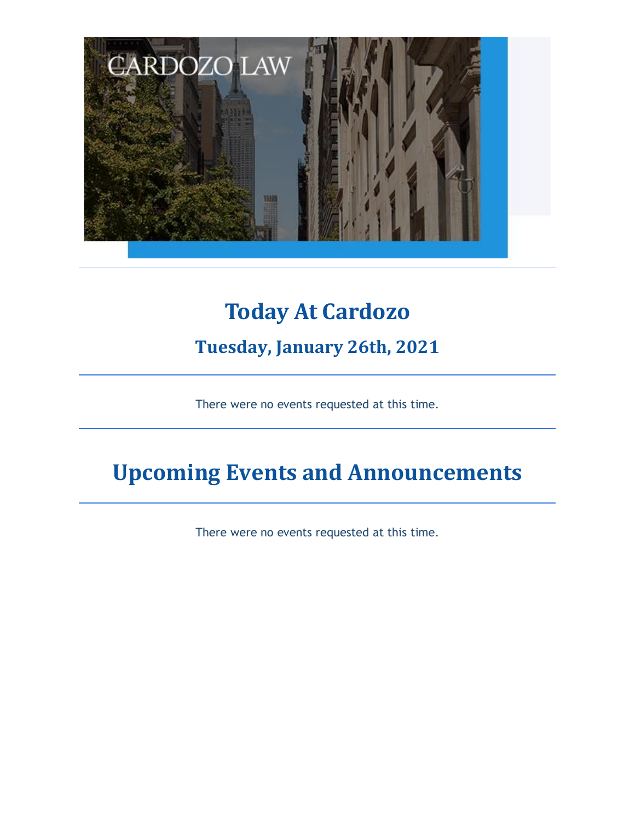

# **Today At Cardozo**

### **Tuesday, January 26th, 2021**

There were no events requested at this time.

# **Upcoming Events and Announcements**

There were no events requested at this time.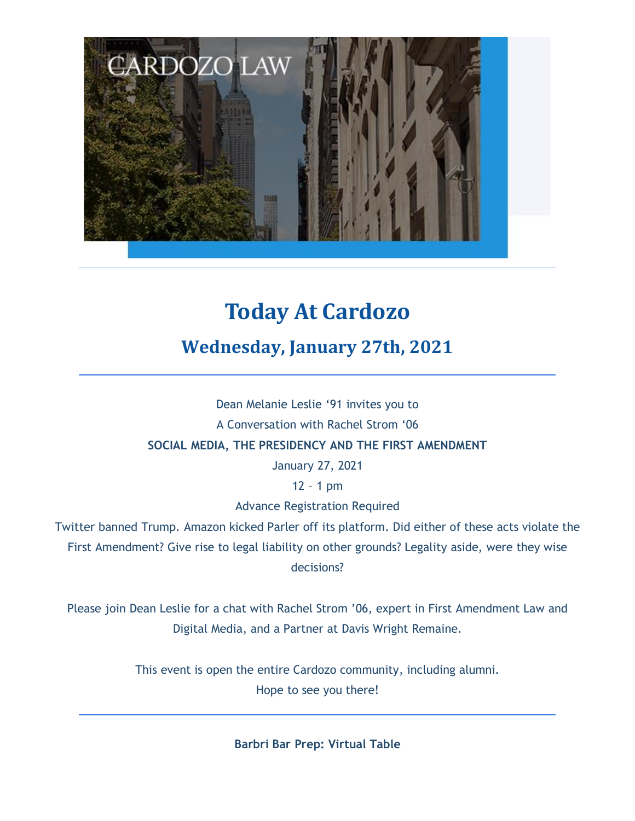

# **Today At Cardozo**

### **Wednesday, January 27th, 2021**

Dean Melanie Leslie '91 invites you to A Conversation with Rachel Strom '06 **SOCIAL MEDIA, THE PRESIDENCY AND THE FIRST AMENDMENT** January 27, 2021

12 – 1 pm

Advance Registration Required

Twitter banned Trump. Amazon kicked Parler off its platform. Did either of these acts violate the First Amendment? Give rise to legal liability on other grounds? Legality aside, were they wise decisions?

Please join Dean Leslie for a chat with Rachel Strom '06, expert in First Amendment Law and Digital Media, and a Partner at Davis Wright Remaine.

> This event is open the entire Cardozo community, including alumni. Hope to see you there!

> > **Barbri Bar Prep: Virtual Table**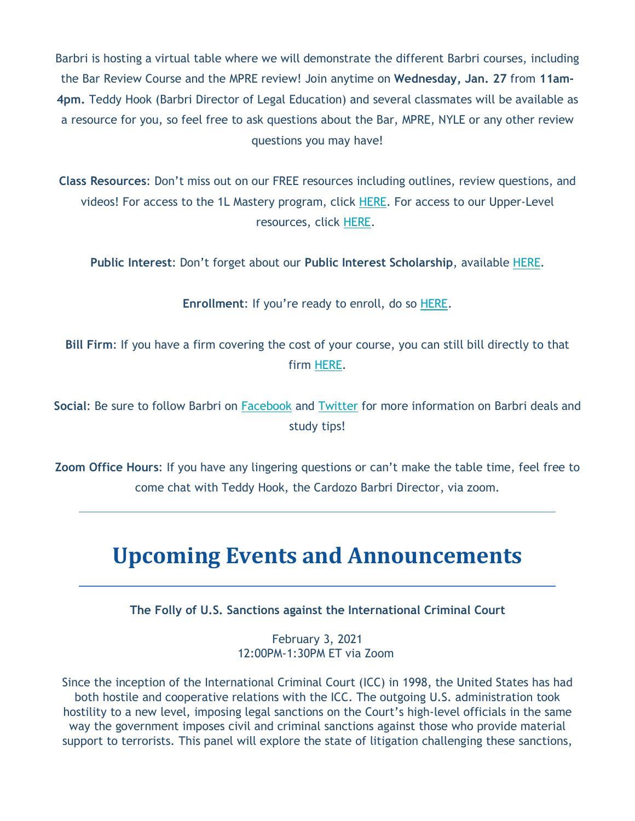Barbri is hosting a virtual table where we will demonstrate the different Barbri courses, including the Bar Review Course and the MPRE review! Join anytime on **Wednesday, Jan. 27** from **11am-4pm.** Teddy Hook (Barbri Director of Legal Education) and several classmates will be available as a resource for you, so feel free to ask questions about the Bar, MPRE, NYLE or any other review questions you may have!

**Class Resources**: Don't miss out on our FREE resources including outlines, review questions, and videos! For access to the 1L Mastery program, click HERE. For access to our Upper-Level resources, click HERE.

**Public Interest**: Don't forget about our **Public Interest Scholarship**, available HERE.

**Enrollment**: If you're ready to enroll, do so HERE.

**Bill Firm**: If you have a firm covering the cost of your course, you can still bill directly to that firm HERE.

**Social**: Be sure to follow Barbri on Facebook and Twitter for more information on Barbri deals and study tips!

**Zoom Office Hours**: If you have any lingering questions or can't make the table time, feel free to come chat with Teddy Hook, the Cardozo Barbri Director, via zoom.

## **Upcoming Events and Announcements**

**The Folly of U.S. Sanctions against the International Criminal Court**

February 3, 2021 12:00PM-1:30PM ET via Zoom

Since the inception of the International Criminal Court (ICC) in 1998, the United States has had both hostile and cooperative relations with the ICC. The outgoing U.S. administration took hostility to a new level, imposing legal sanctions on the Court's high-level officials in the same way the government imposes civil and criminal sanctions against those who provide material support to terrorists. This panel will explore the state of litigation challenging these sanctions,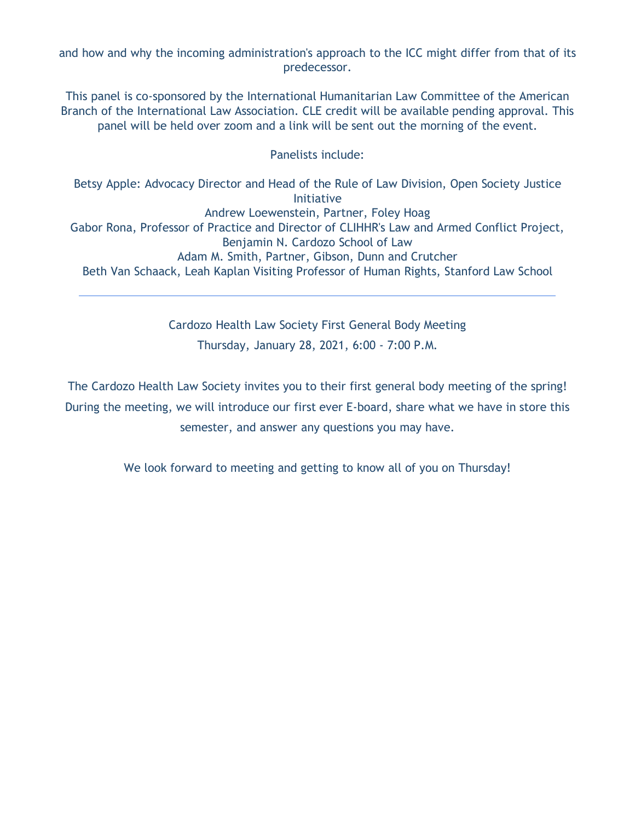and how and why the incoming administration's approach to the ICC might differ from that of its predecessor.

This panel is co-sponsored by the International Humanitarian Law Committee of the American Branch of the International Law Association. CLE credit will be available pending approval. This panel will be held over zoom and a link will be sent out the morning of the event.

#### Panelists include:

Betsy Apple: Advocacy Director and Head of the Rule of Law Division, Open Society Justice Initiative Andrew Loewenstein, Partner, Foley Hoag Gabor Rona, Professor of Practice and Director of CLIHHR's Law and Armed Conflict Project, Benjamin N. Cardozo School of Law Adam M. Smith, Partner, Gibson, Dunn and Crutcher Beth Van Schaack, Leah Kaplan Visiting Professor of Human Rights, Stanford Law School

> Cardozo Health Law Society First General Body Meeting Thursday, January 28, 2021, 6:00 - 7:00 P.M.

The Cardozo Health Law Society invites you to their first general body meeting of the spring! During the meeting, we will introduce our first ever E-board, share what we have in store this semester, and answer any questions you may have.

We look forward to meeting and getting to know all of you on Thursday!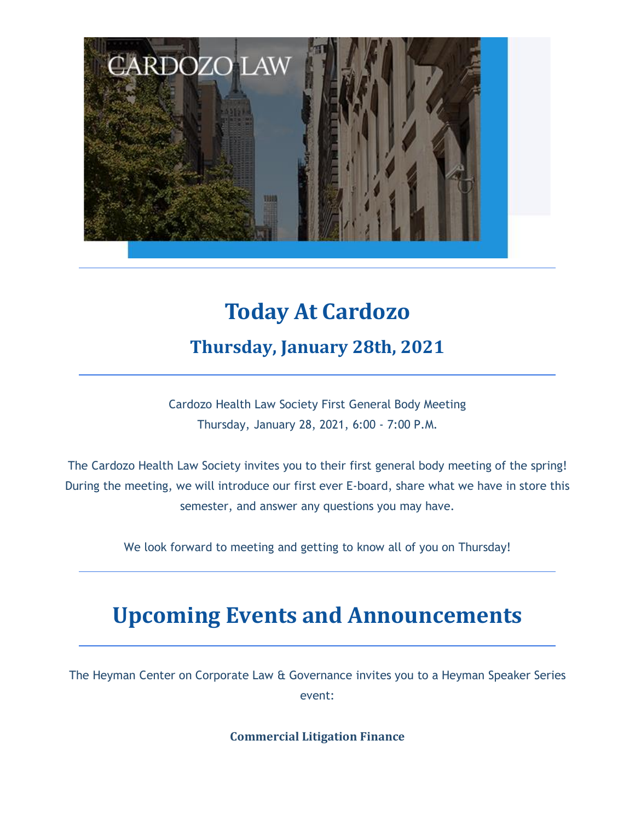

# **Today At Cardozo Thursday, January 28th, 2021**

Cardozo Health Law Society First General Body Meeting Thursday, January 28, 2021, 6:00 - 7:00 P.M.

The Cardozo Health Law Society invites you to their first general body meeting of the spring! During the meeting, we will introduce our first ever E-board, share what we have in store this semester, and answer any questions you may have.

We look forward to meeting and getting to know all of you on Thursday!

## **Upcoming Events and Announcements**

The Heyman Center on Corporate Law & Governance invites you to a Heyman Speaker Series event:

**Commercial Litigation Finance**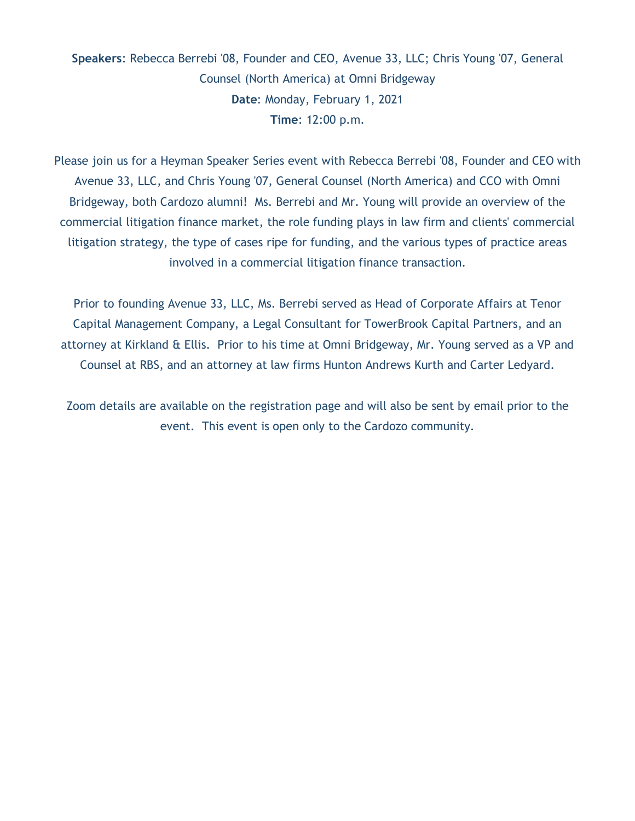### **Speakers**: Rebecca Berrebi '08, Founder and CEO, Avenue 33, LLC; Chris Young '07, General Counsel (North America) at Omni Bridgeway **Date**: Monday, February 1, 2021 **Time**: 12:00 p.m.

Please join us for a Heyman Speaker Series event with Rebecca Berrebi '08, Founder and CEO with Avenue 33, LLC, and Chris Young '07, General Counsel (North America) and CCO with Omni Bridgeway, both Cardozo alumni! Ms. Berrebi and Mr. Young will provide an overview of the commercial litigation finance market, the role funding plays in law firm and clients' commercial litigation strategy, the type of cases ripe for funding, and the various types of practice areas involved in a commercial litigation finance transaction.

Prior to founding Avenue 33, LLC, Ms. Berrebi served as Head of Corporate Affairs at Tenor Capital Management Company, a Legal Consultant for TowerBrook Capital Partners, and an attorney at Kirkland & Ellis. Prior to his time at Omni Bridgeway, Mr. Young served as a VP and Counsel at RBS, and an attorney at law firms Hunton Andrews Kurth and Carter Ledyard.

Zoom details are available on the registration page and will also be sent by email prior to the event. This event is open only to the Cardozo community.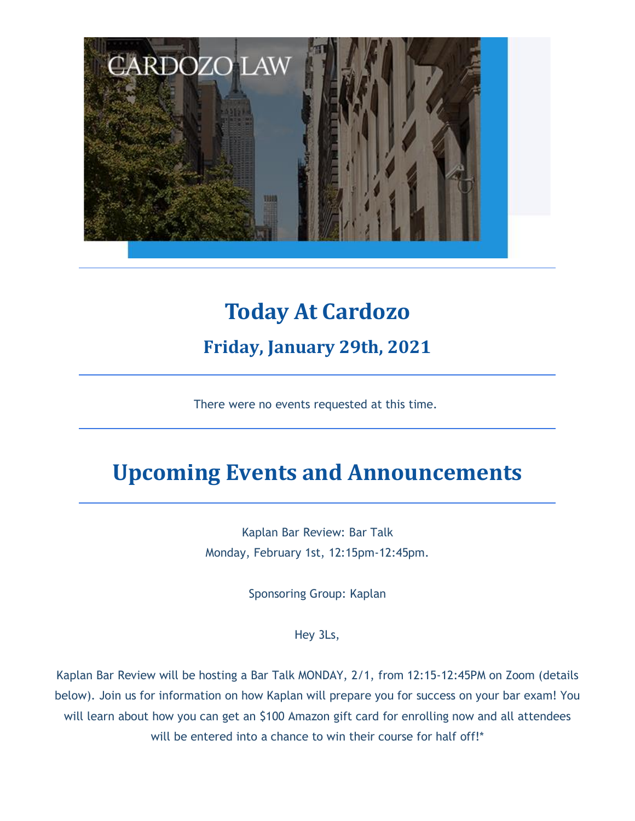

# **Today At Cardozo Friday, January 29th, 2021**

There were no events requested at this time.

# **Upcoming Events and Announcements**

Kaplan Bar Review: Bar Talk Monday, February 1st, 12:15pm-12:45pm.

Sponsoring Group: Kaplan

Hey 3Ls,

Kaplan Bar Review will be hosting a Bar Talk MONDAY, 2/1, from 12:15-12:45PM on Zoom (details below). Join us for information on how Kaplan will prepare you for success on your bar exam! You will learn about how you can get an \$100 Amazon gift card for enrolling now and all attendees will be entered into a chance to win their course for half off!\*